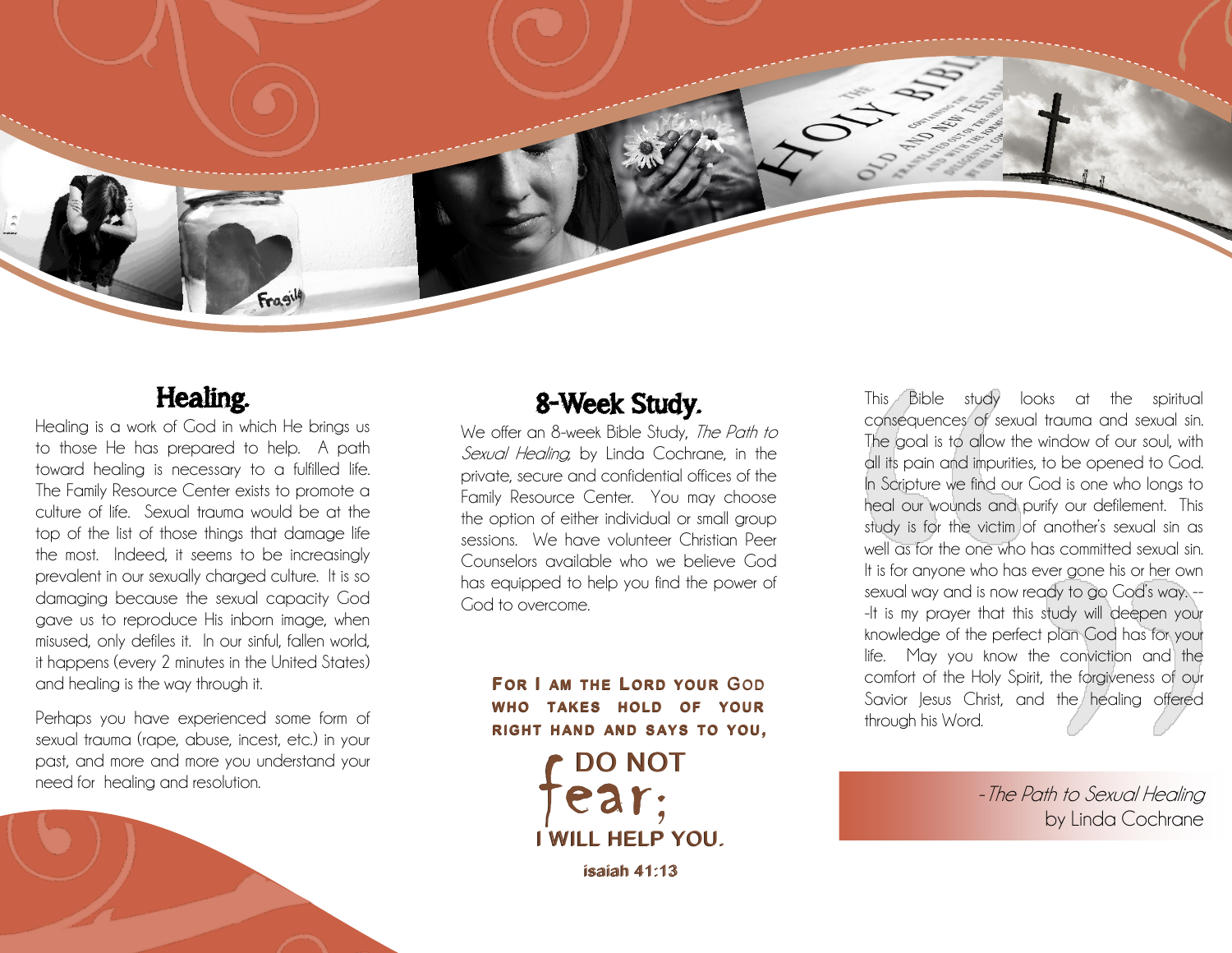

### Healing.

Healing is a work of God in which He brings us to those He has prepared to help. A path toward healing is necessary to a fulfilled life. The Family Resource Center exists to promote a culture of life. Sexual trauma would be at the top of the list of those things that damage life the most. Indeed, it seems to be increasingly prevalent in our sexually charged culture. It is so damaging because the sexual capacity God gave us to reproduce His inborn image, when misused, only defiles it. In our sinful, fallen world, it happens (every 2 minutes in the United States) and healing is the way through it.

Perhaps you have experienced some form of sexual trauma (rape, abuse, incest, etc.) in your past, and more and more you understand your need for healing and resolution.

# 8-Week Study.

We offer an 8-week Bible Study, The Path to Sexual Healing, by Linda Cochrane, in the private, secure and confidential offices of the Family Resource Center. You may choose the option of either individual or small group sessions. We have volunteer Christian Peer Counselors available who we believe God has equipped to help you find the power of God to overcome.

**FOR I AM THE LORD YOUR** GOD **WHO TAKES HOLD OF YOUR RIGHT H AND AND S AY S TO YOU, WHOTAKESHOLD OF YOURRIGHT H AND AND S AY S TO YOU,** 

DO NOT DO NOT I WILL HELP YOU. I WILL HELP YOU. FOR I AM THE LORD YOUR GOD<br>WHO TAKES HOLD OF YOUR<br>RIGHT HAND AND SAYS TO YOU,<br> $\begin{bmatrix}$  DO NOT<br> $\begin{bmatrix} 0 & 0 \\ 0 & 0 \end{bmatrix}$ 

isaiah 41:13 isaiah 41:13

This Bible study looks at the spiritual consequences of sexual trauma and sexual sin. The goal is to allow the window of our soul, with all its pain and impurities, to be opened to God. In Scripture we find our God is one who longs to heal our wounds and purify our defilement. This study is for the victim of another's sexual sin as well as for the one who has committed sexual sin. It is for anyone who has ever gone his or her own sexual way and is now ready to go God's way. -- -It is my prayer that this study will deepen your knowledge of the perfect plan God has for your life. May you know the conviction and the comfort of the Holy Spirit, the forgiveness of our Savior Jesus Christ, and the healing offered through his Word.

> -The Path to Sexual Healing by Linda Cochrane